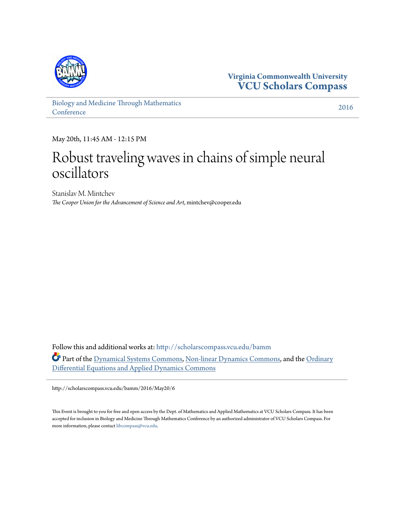

**Virginia Commonwealth University [VCU Scholars Compass](http://scholarscompass.vcu.edu?utm_source=scholarscompass.vcu.edu%2Fbamm%2F2016%2FMay20%2F6&utm_medium=PDF&utm_campaign=PDFCoverPages)**

[Biology and Medicine Through Mathematics](http://scholarscompass.vcu.edu/bamm?utm_source=scholarscompass.vcu.edu%2Fbamm%2F2016%2FMay20%2F6&utm_medium=PDF&utm_campaign=PDFCoverPages) **[Conference](http://scholarscompass.vcu.edu/bamm?utm_source=scholarscompass.vcu.edu%2Fbamm%2F2016%2FMay20%2F6&utm_medium=PDF&utm_campaign=PDFCoverPages)** 

[2016](http://scholarscompass.vcu.edu/bamm/2016?utm_source=scholarscompass.vcu.edu%2Fbamm%2F2016%2FMay20%2F6&utm_medium=PDF&utm_campaign=PDFCoverPages)

May 20th, 11:45 AM - 12:15 PM

## Robust traveling waves in chains of simple neural oscillators

Stanislav M. Mintchev *The Cooper Union for the Advancement of Science and Art*, mintchev@cooper.edu

Follow this and additional works at: [http://scholarscompass.vcu.edu/bamm](http://scholarscompass.vcu.edu/bamm?utm_source=scholarscompass.vcu.edu%2Fbamm%2F2016%2FMay20%2F6&utm_medium=PDF&utm_campaign=PDFCoverPages) Part of the [Dynamical Systems Commons,](http://network.bepress.com/hgg/discipline/179?utm_source=scholarscompass.vcu.edu%2Fbamm%2F2016%2FMay20%2F6&utm_medium=PDF&utm_campaign=PDFCoverPages) [Non-linear Dynamics Commons](http://network.bepress.com/hgg/discipline/118?utm_source=scholarscompass.vcu.edu%2Fbamm%2F2016%2FMay20%2F6&utm_medium=PDF&utm_campaign=PDFCoverPages), and the [Ordinary](http://network.bepress.com/hgg/discipline/121?utm_source=scholarscompass.vcu.edu%2Fbamm%2F2016%2FMay20%2F6&utm_medium=PDF&utm_campaign=PDFCoverPages) [Differential Equations and Applied Dynamics Commons](http://network.bepress.com/hgg/discipline/121?utm_source=scholarscompass.vcu.edu%2Fbamm%2F2016%2FMay20%2F6&utm_medium=PDF&utm_campaign=PDFCoverPages)

http://scholarscompass.vcu.edu/bamm/2016/May20/6

This Event is brought to you for free and open access by the Dept. of Mathematics and Applied Mathematics at VCU Scholars Compass. It has been accepted for inclusion in Biology and Medicine Through Mathematics Conference by an authorized administrator of VCU Scholars Compass. For more information, please contact [libcompass@vcu.edu](mailto:libcompass@vcu.edu).